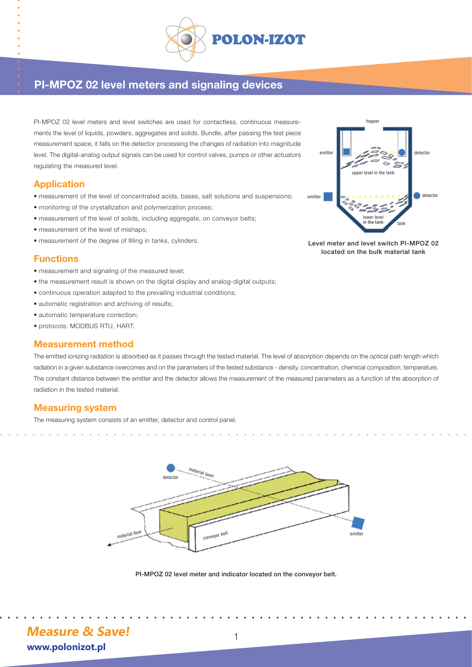

# PI-MPOZ 02 level meters and signaling devices

PI-MPOZ 02 level meters and level switches are used for contactless, continuous measurements the level of liquids, powders, aggregates and solids. Bundle, after passing the test piece measurement space, it falls on the detector processing the changes of radiation into magnitude level. The digital-analog output signals can be used for control valves, pumps or other actuators regulating the measured level.

#### Application

- measurement of the level of concentrated acids, bases, salt solutions and suspensions;
- monitoring of the crystallization and polymerization process;
- measurement of the level of solids, including aggregate, on conveyor belts;
- measurement of the level of mishaps:
- measurement of the degree of filling in tanks, cylinders.

#### **Functions**

- measurement and signaling of the measured level;
- the measurement result is shown on the digital display and analog-digital outputs;
- continuous operation adapted to the prevailing industrial conditions;
- automatic registration and archiving of results;
- automatic temperature correction;
- protocols: MODBUS RTU, HART.

#### Measurement method

The emitted ionizing radiation is absorbed as it passes through the tested material. The level of absorption depends on the optical path length which radiation in a given substance overcomes and on the parameters of the tested substance - density, concentration, chemical composition, temperature. The constant distance between the emitter and the detector allows the measurement of the measured parameters as a function of the absorption of radiation in the tested material.

### Measuring system

The measuring system consists of an emitter, detector and control panel.



PI-MPOZ 02 level meter and indicator located on the conveyor belt.



Level meter and level switch PI-MPOZ 02 located on the bulk material tank

**www.polonizot.pl Measure & Save!**